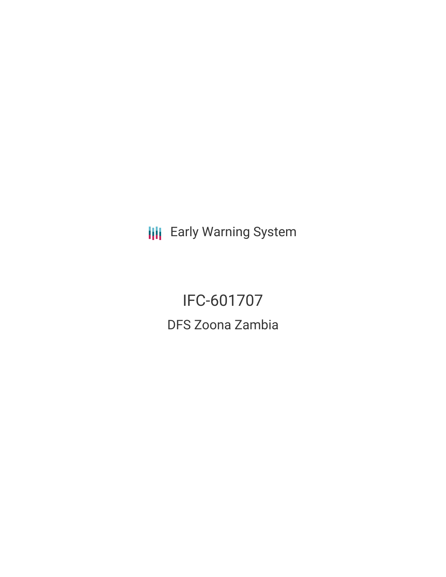**III** Early Warning System

IFC-601707 DFS Zoona Zambia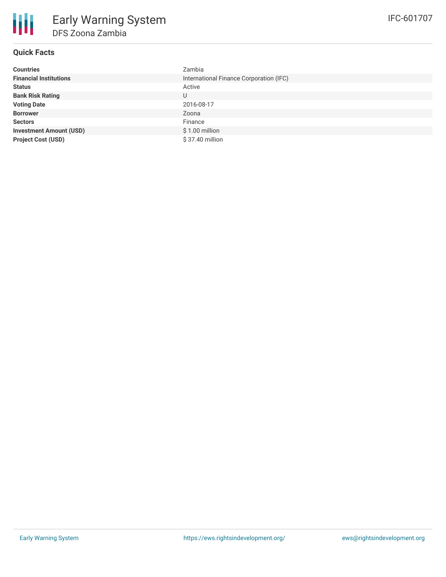# **Quick Facts**

| <b>Countries</b>               | Zambia                                  |
|--------------------------------|-----------------------------------------|
| <b>Financial Institutions</b>  | International Finance Corporation (IFC) |
| <b>Status</b>                  | Active                                  |
| <b>Bank Risk Rating</b>        | U                                       |
| <b>Voting Date</b>             | 2016-08-17                              |
| <b>Borrower</b>                | Zoona                                   |
| <b>Sectors</b>                 | Finance                                 |
| <b>Investment Amount (USD)</b> | $$1.00$ million                         |
| <b>Project Cost (USD)</b>      | \$37.40 million                         |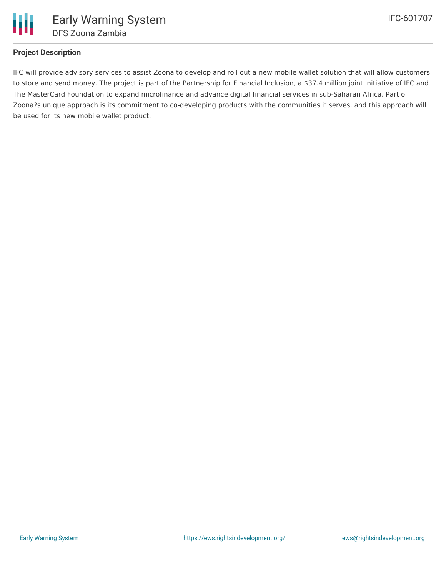

## **Project Description**

IFC will provide advisory services to assist Zoona to develop and roll out a new mobile wallet solution that will allow customers to store and send money. The project is part of the Partnership for Financial Inclusion, a \$37.4 million joint initiative of IFC and The MasterCard Foundation to expand microfinance and advance digital financial services in sub-Saharan Africa. Part of Zoona?s unique approach is its commitment to co-developing products with the communities it serves, and this approach will be used for its new mobile wallet product.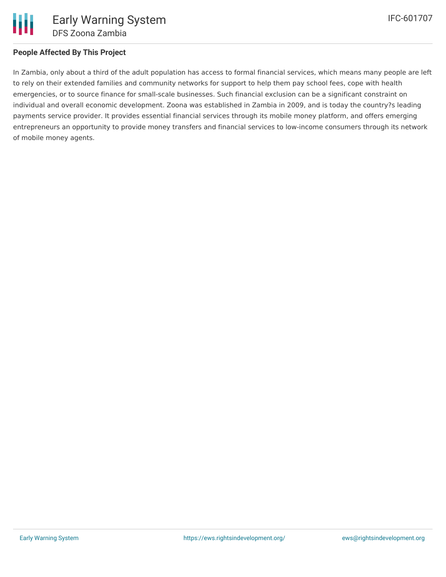## **People Affected By This Project**

In Zambia, only about a third of the adult population has access to formal financial services, which means many people are left to rely on their extended families and community networks for support to help them pay school fees, cope with health emergencies, or to source finance for small-scale businesses. Such financial exclusion can be a significant constraint on individual and overall economic development. Zoona was established in Zambia in 2009, and is today the country?s leading payments service provider. It provides essential financial services through its mobile money platform, and offers emerging entrepreneurs an opportunity to provide money transfers and financial services to low-income consumers through its network of mobile money agents.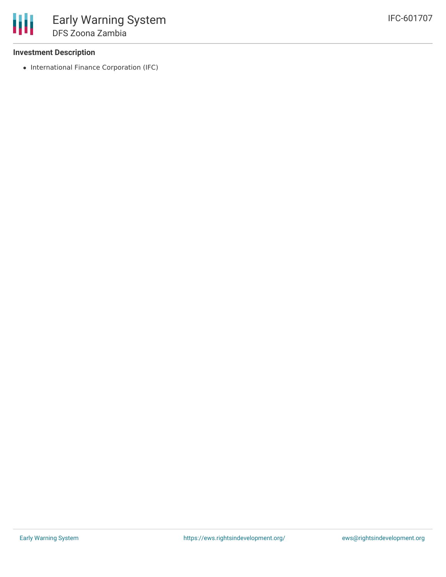## **Investment Description**

• International Finance Corporation (IFC)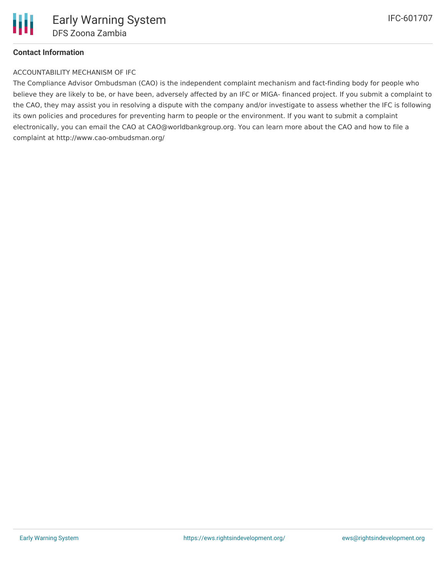## **Contact Information**

#### ACCOUNTABILITY MECHANISM OF IFC

The Compliance Advisor Ombudsman (CAO) is the independent complaint mechanism and fact-finding body for people who believe they are likely to be, or have been, adversely affected by an IFC or MIGA- financed project. If you submit a complaint to the CAO, they may assist you in resolving a dispute with the company and/or investigate to assess whether the IFC is following its own policies and procedures for preventing harm to people or the environment. If you want to submit a complaint electronically, you can email the CAO at CAO@worldbankgroup.org. You can learn more about the CAO and how to file a complaint at http://www.cao-ombudsman.org/